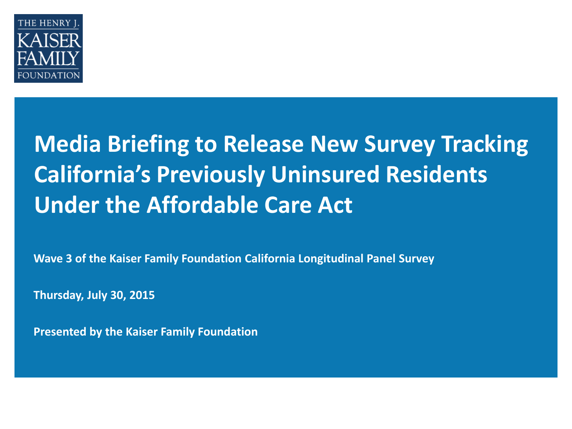

## **Media Briefing to Release New Survey Tracking California's Previously Uninsured Residents Under the Affordable Care Act**

**Wave 3 of the Kaiser Family Foundation California Longitudinal Panel Survey**

**Thursday, July 30, 2015**

**Presented by the Kaiser Family Foundation**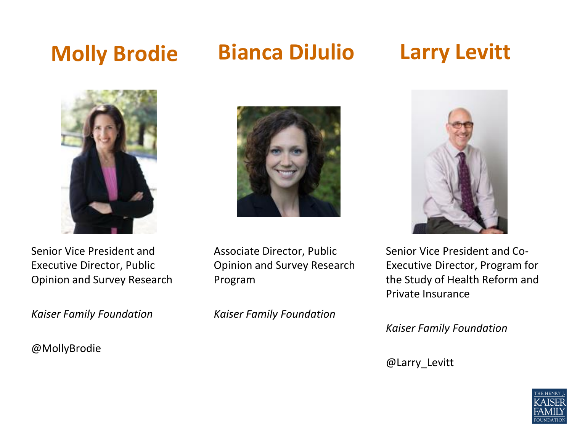## **Molly Brodie**

### **Bianca DiJulio Larry Levitt**



Senior Vice President and Executive Director, Public Opinion and Survey Research

*Kaiser Family Foundation*

#### @MollyBrodie



Associate Director, Public Opinion and Survey Research Program

*Kaiser Family Foundation*



Senior Vice President and Co-Executive Director, Program for the Study of Health Reform and Private Insurance

*Kaiser Family Foundation*

@Larry\_Levitt

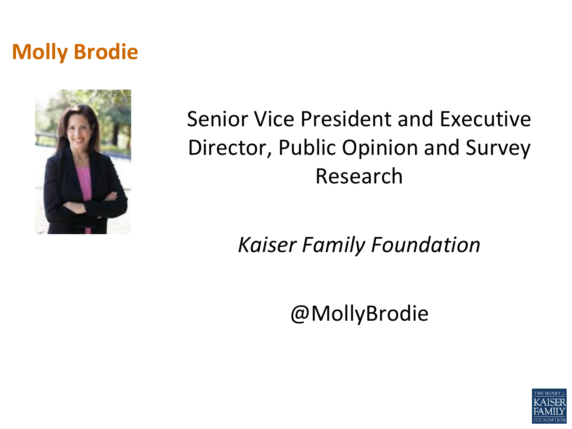## **Molly Brodie**



## Senior Vice President and Executive Director, Public Opinion and Survey Research

*Kaiser Family Foundation*

@MollyBrodie

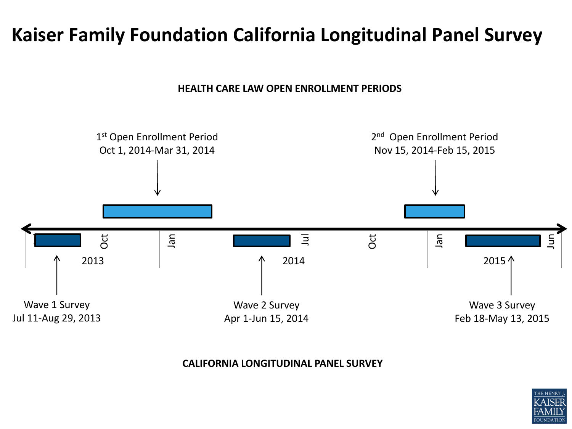#### **Kaiser Family Foundation California Longitudinal Panel Survey**

**HEALTH CARE LAW OPEN ENROLLMENT PERIODS**



#### **CALIFORNIA LONGITUDINAL PANEL SURVEY**

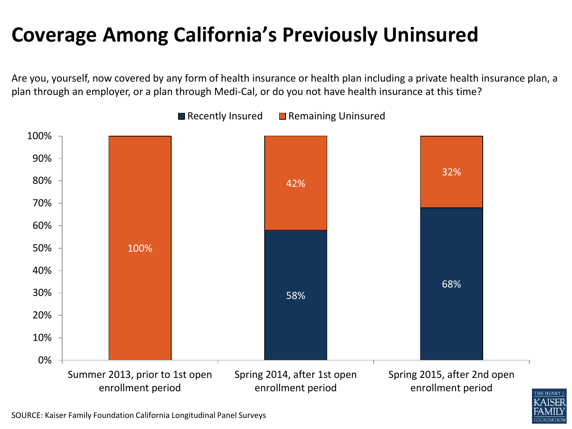## **Coverage Among California's Previously Uninsured**

Are you, yourself, now covered by any form of health insurance or health plan including a private health insurance plan, a plan through an employer, or a plan through Medi-Cal, or do you not have health insurance at this time?





SOURCE: Kaiser Family Foundation California Longitudinal Panel Surveys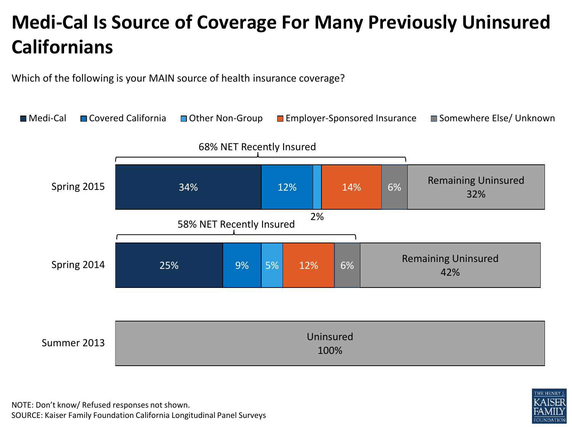## **Medi-Cal Is Source of Coverage For Many Previously Uninsured Californians**

Which of the following is your MAIN source of health insurance coverage?



NOTE: Don't know/ Refused responses not shown. SOURCE: Kaiser Family Foundation California Longitudinal Panel Surveys

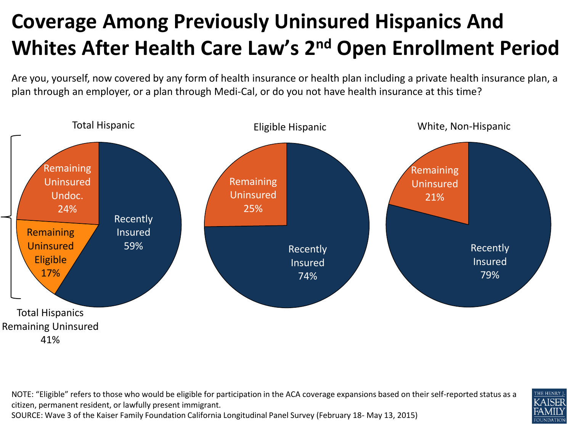## **Coverage Among Previously Uninsured Hispanics And Whites After Health Care Law's 2nd Open Enrollment Period**

Are you, yourself, now covered by any form of health insurance or health plan including a private health insurance plan, a plan through an employer, or a plan through Medi-Cal, or do you not have health insurance at this time?



NOTE: "Eligible" refers to those who would be eligible for participation in the ACA coverage expansions based on their self-reported status as a citizen, permanent resident, or lawfully present immigrant. SOURCE: Wave 3 of the Kaiser Family Foundation California Longitudinal Panel Survey (February 18- May 13, 2015)

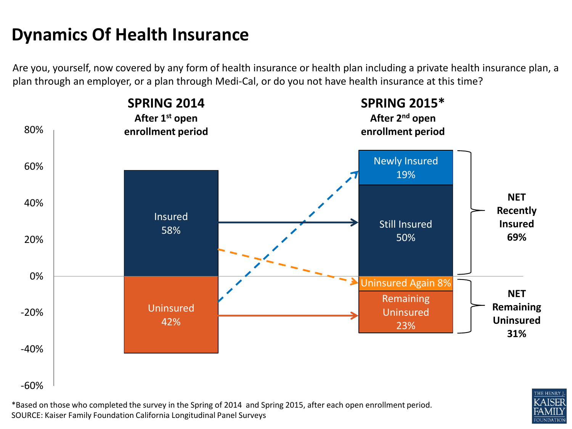#### **Dynamics Of Health Insurance**

Are you, yourself, now covered by any form of health insurance or health plan including a private health insurance plan, a plan through an employer, or a plan through Medi-Cal, or do you not have health insurance at this time?



\*Based on those who completed the survey in the Spring of 2014 and Spring 2015, after each open enrollment period. SOURCE: Kaiser Family Foundation California Longitudinal Panel Surveys

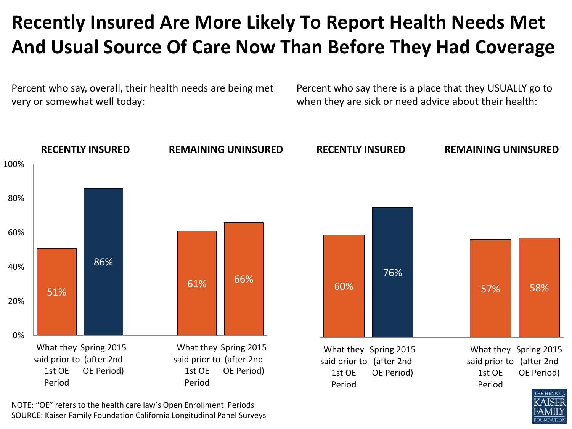#### **Recently Insured Are More Likely To Report Health Needs Met And Usual Source Of Care Now Than Before They Had Coverage**

Percent who say, overall, their health needs are being met very or somewhat well today:

Percent who say there is a place that they USUALLY go to when they are sick or need advice about their health:

**UNDATION** 



NOTE: "OE" refers to the health care law's Open Enrollment Periods SOURCE: Kaiser Family Foundation California Longitudinal Panel Surveys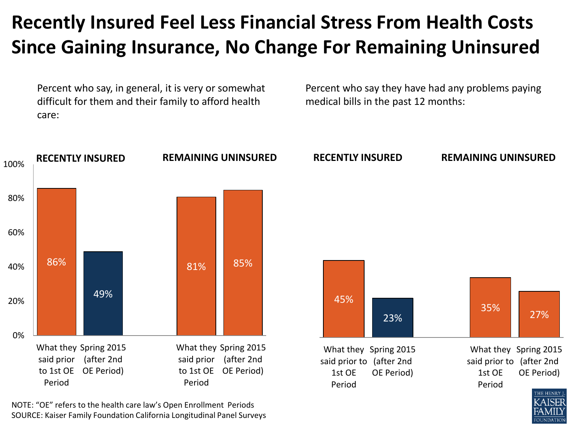#### **Recently Insured Feel Less Financial Stress From Health Costs Since Gaining Insurance, No Change For Remaining Uninsured**

Percent who say, in general, it is very or somewhat difficult for them and their family to afford health care:

Percent who say they have had any problems paying medical bills in the past 12 months:

**UNDATION** 



NOTE: "OE" refers to the health care law's Open Enrollment Periods SOURCE: Kaiser Family Foundation California Longitudinal Panel Surveys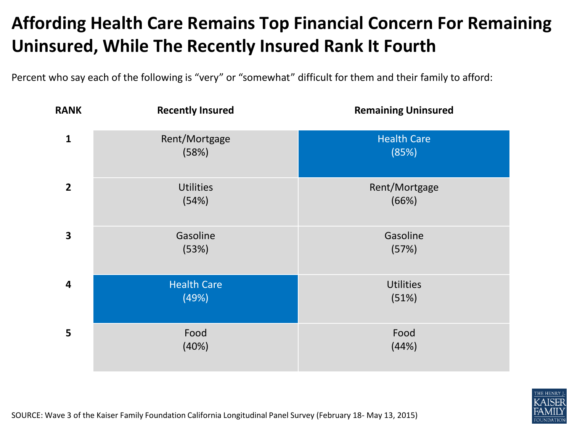#### **Affording Health Care Remains Top Financial Concern For Remaining Uninsured, While The Recently Insured Rank It Fourth**

Percent who say each of the following is "very" or "somewhat" difficult for them and their family to afford:



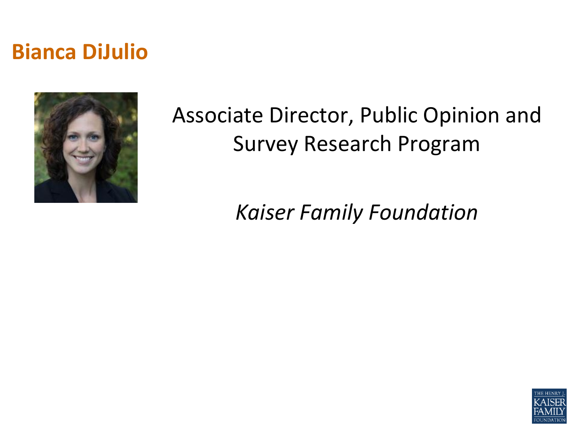### **Bianca DiJulio**



## Associate Director, Public Opinion and Survey Research Program

*Kaiser Family Foundation*

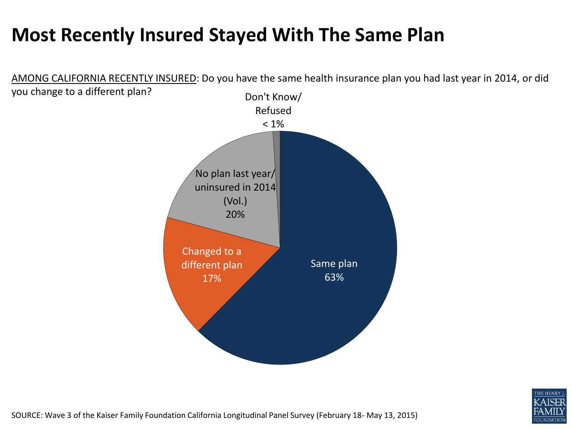#### **Most Recently Insured Stayed With The Same Plan**

Same plan 63% Changed to a different plan 17% No plan last year/ uninsured in 2014 (Vol.) 20% Don't Know/ Refused  $< 1\%$ AMONG CALIFORNIA RECENTLY INSURED: Do you have the same health insurance plan you had last year in 2014, or did you change to a different plan?



SOURCE: Wave 3 of the Kaiser Family Foundation California Longitudinal Panel Survey (February 18- May 13, 2015)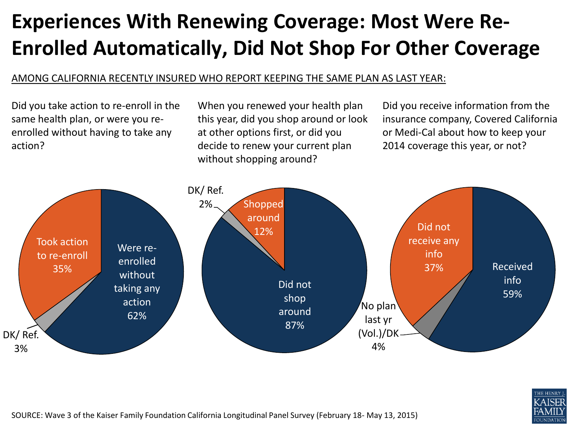## **Experiences With Renewing Coverage: Most Were Re-Enrolled Automatically, Did Not Shop For Other Coverage**

#### AMONG CALIFORNIA RECENTLY INSURED WHO REPORT KEEPING THE SAME PLAN AS LAST YEAR:

Did you take action to re-enroll in the same health plan, or were you reenrolled without having to take any action?

When you renewed your health plan this year, did you shop around or look at other options first, or did you decide to renew your current plan without shopping around?

Did you receive information from the insurance company, Covered California or Medi-Cal about how to keep your 2014 coverage this year, or not?



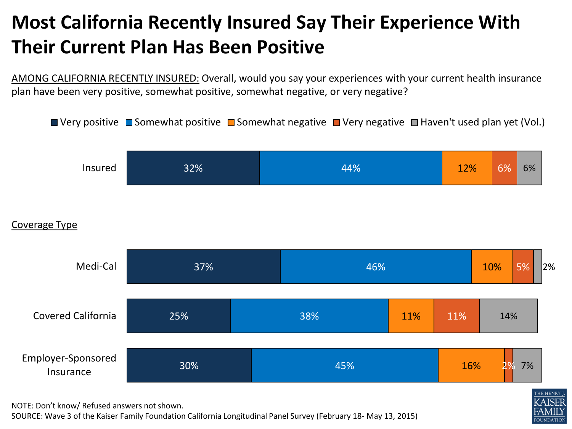### **Most California Recently Insured Say Their Experience With Their Current Plan Has Been Positive**

AMONG CALIFORNIA RECENTLY INSURED: Overall, would you say your experiences with your current health insurance plan have been very positive, somewhat positive, somewhat negative, or very negative?







NOTE: Don't know/ Refused answers not shown.

SOURCE: Wave 3 of the Kaiser Family Foundation California Longitudinal Panel Survey (February 18- May 13, 2015)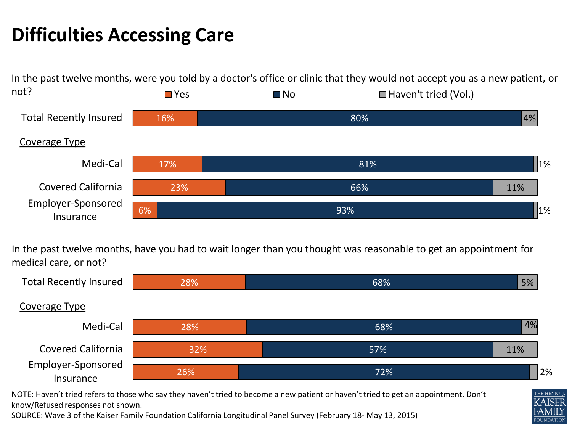#### **Difficulties Accessing Care**

In the past twelve months, were you told by a doctor's office or clinic that they would not accept you as a new patient, or not?  $\Box$  Yes  $\Box$  No  $\Box$  Haven't tried (Vol.)



In the past twelve months, have you had to wait longer than you thought was reasonable to get an appointment for medical care, or not?



NOTE: Haven't tried refers to those who say they haven't tried to become a new patient or haven't tried to get an appointment. Don't know/Refused responses not shown.

SOURCE: Wave 3 of the Kaiser Family Foundation California Longitudinal Panel Survey (February 18- May 13, 2015)



THE HENRY **ZAISER** 

**OUNDATION**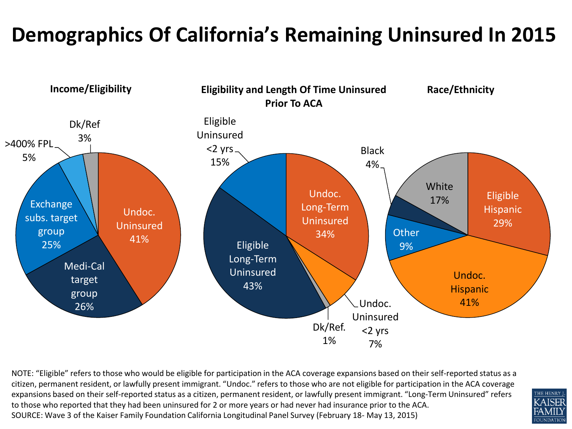## **Demographics Of California's Remaining Uninsured In 2015**



NOTE: "Eligible" refers to those who would be eligible for participation in the ACA coverage expansions based on their self-reported status as a citizen, permanent resident, or lawfully present immigrant. "Undoc." refers to those who are not eligible for participation in the ACA coverage expansions based on their self-reported status as a citizen, permanent resident, or lawfully present immigrant. "Long-Term Uninsured" refers to those who reported that they had been uninsured for 2 or more years or had never had insurance prior to the ACA. SOURCE: Wave 3 of the Kaiser Family Foundation California Longitudinal Panel Survey (February 18- May 13, 2015)

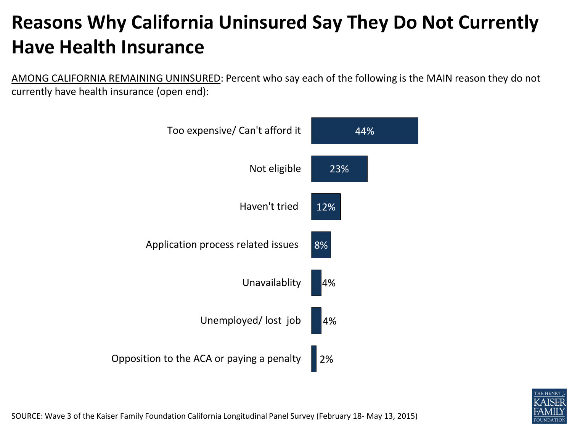### **Reasons Why California Uninsured Say They Do Not Currently Have Health Insurance**

AMONG CALIFORNIA REMAINING UNINSURED: Percent who say each of the following is the MAIN reason they do not currently have health insurance (open end):





SOURCE: Wave 3 of the Kaiser Family Foundation California Longitudinal Panel Survey (February 18- May 13, 2015)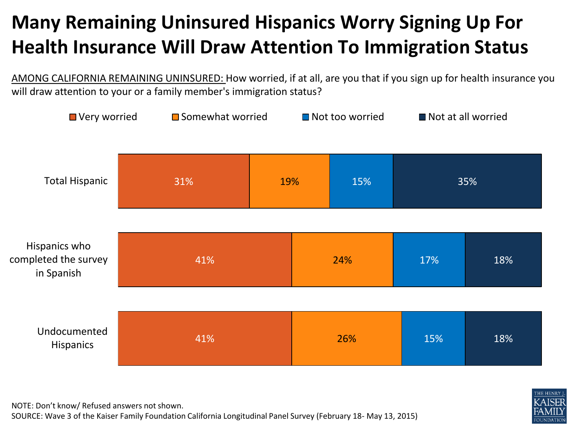## **Many Remaining Uninsured Hispanics Worry Signing Up For Health Insurance Will Draw Attention To Immigration Status**

AMONG CALIFORNIA REMAINING UNINSURED: How worried, if at all, are you that if you sign up for health insurance you will draw attention to your or a family member's immigration status?





NOTE: Don't know/ Refused answers not shown.

SOURCE: Wave 3 of the Kaiser Family Foundation California Longitudinal Panel Survey (February 18- May 13, 2015)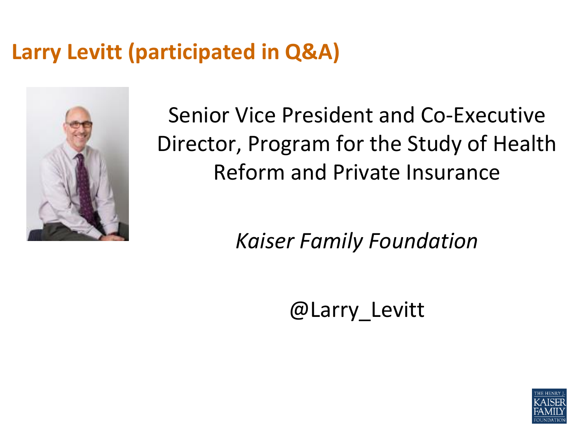## **Larry Levitt (participated in Q&A)**



Senior Vice President and Co-Executive Director, Program for the Study of Health Reform and Private Insurance

*Kaiser Family Foundation*

@Larry\_Levitt